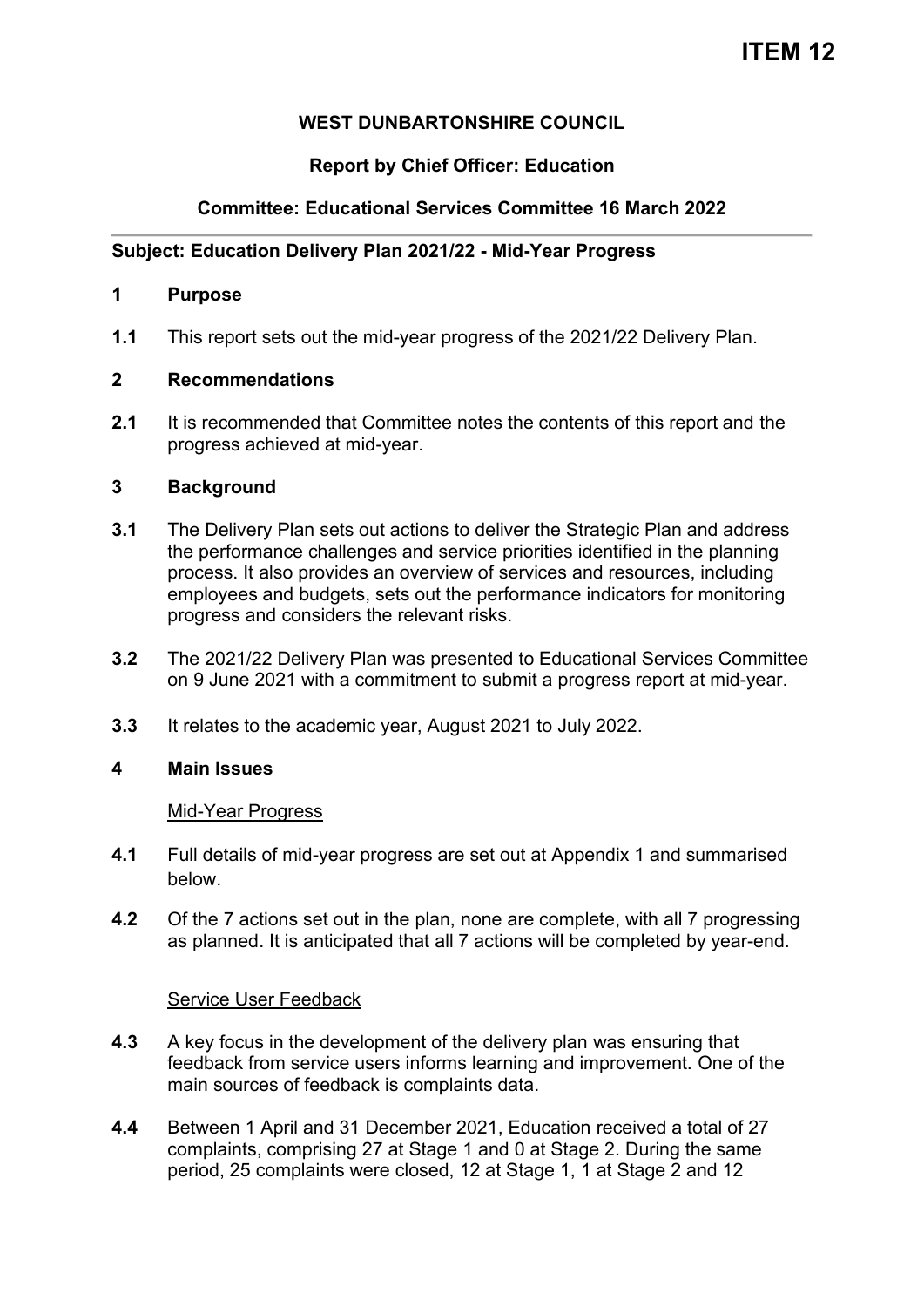# **WEST DUNBARTONSHIRE COUNCIL**

# **Report by Chief Officer: Education**

# **Committee: Educational Services Committee 16 March 2022**

## **Subject: Education Delivery Plan 2021/22 - Mid-Year Progress**

#### **1 Purpose**

**1.1** This report sets out the mid-year progress of the 2021/22 Delivery Plan.

### **2 Recommendations**

**2.1** It is recommended that Committee notes the contents of this report and the progress achieved at mid-year.

### **3 Background**

- **3.1** The Delivery Plan sets out actions to deliver the Strategic Plan and address the performance challenges and service priorities identified in the planning process. It also provides an overview of services and resources, including employees and budgets, sets out the performance indicators for monitoring progress and considers the relevant risks.
- **3.2** The 2021/22 Delivery Plan was presented to Educational Services Committee on 9 June 2021 with a commitment to submit a progress report at mid-year.
- **3.3** It relates to the academic year, August 2021 to July 2022.

### **4 Main Issues**

#### Mid-Year Progress

- **4.1** Full details of mid-year progress are set out at Appendix 1 and summarised below.
- **4.2** Of the 7 actions set out in the plan, none are complete, with all 7 progressing as planned. It is anticipated that all 7 actions will be completed by year-end.

### Service User Feedback

- **4.3** A key focus in the development of the delivery plan was ensuring that feedback from service users informs learning and improvement. One of the main sources of feedback is complaints data.
- **4.4** Between 1 April and 31 December 2021, Education received a total of 27 complaints, comprising 27 at Stage 1 and 0 at Stage 2. During the same period, 25 complaints were closed, 12 at Stage 1, 1 at Stage 2 and 12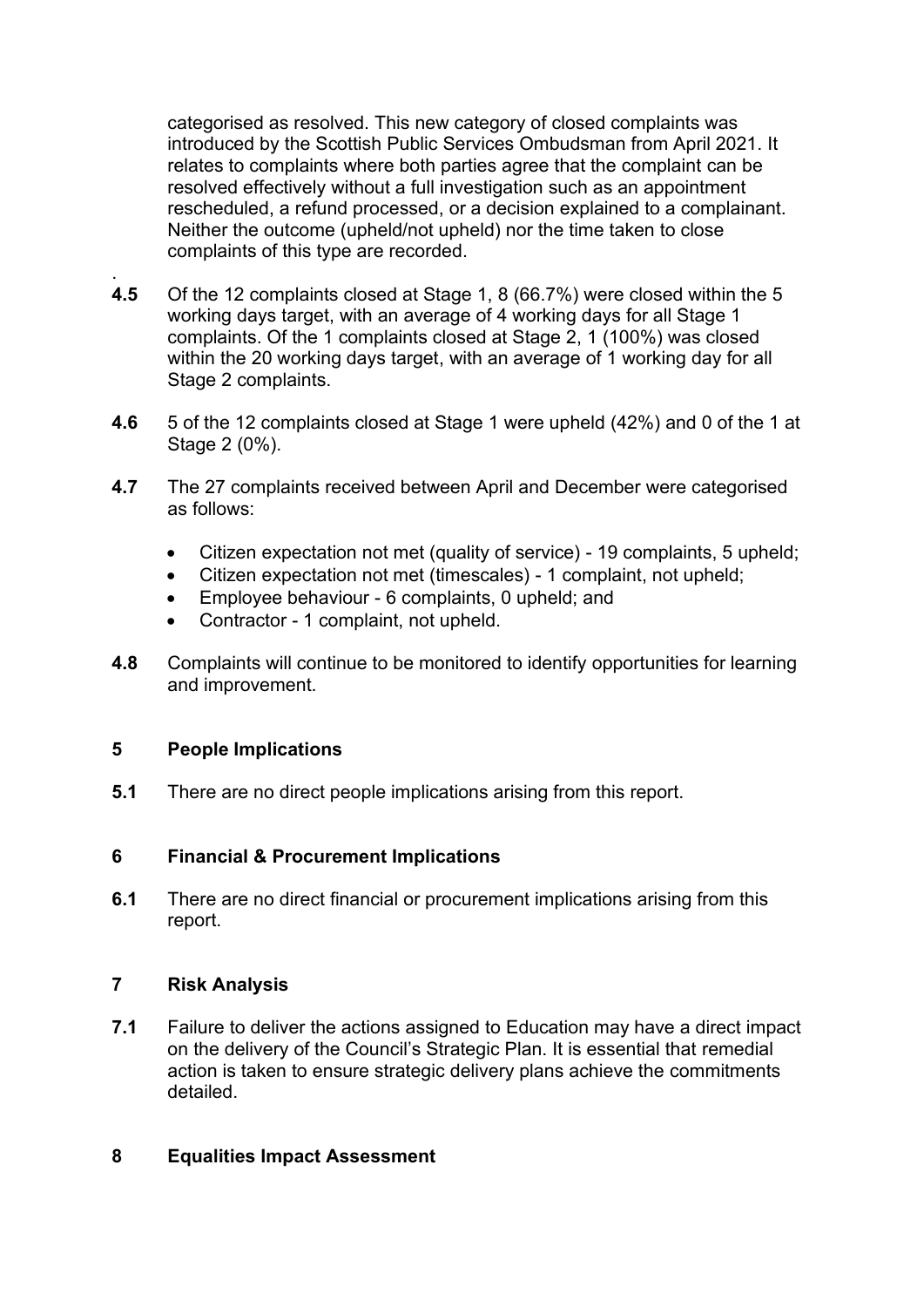categorised as resolved. This new category of closed complaints was introduced by the Scottish Public Services Ombudsman from April 2021. It relates to complaints where both parties agree that the complaint can be resolved effectively without a full investigation such as an appointment rescheduled, a refund processed, or a decision explained to a complainant. Neither the outcome (upheld/not upheld) nor the time taken to close complaints of this type are recorded.

- . **4.5** Of the 12 complaints closed at Stage 1, 8 (66.7%) were closed within the 5 working days target, with an average of 4 working days for all Stage 1 complaints. Of the 1 complaints closed at Stage 2, 1 (100%) was closed within the 20 working days target, with an average of 1 working day for all Stage 2 complaints.
- **4.6** 5 of the 12 complaints closed at Stage 1 were upheld (42%) and 0 of the 1 at Stage 2 (0%).
- **4.7** The 27 complaints received between April and December were categorised as follows:
	- Citizen expectation not met (quality of service) 19 complaints, 5 upheld;
	- Citizen expectation not met (timescales) 1 complaint, not upheld;
	- Employee behaviour 6 complaints, 0 upheld; and
	- Contractor 1 complaint, not upheld.
- **4.8** Complaints will continue to be monitored to identify opportunities for learning and improvement.

### **5 People Implications**

**5.1** There are no direct people implications arising from this report.

### **6 Financial & Procurement Implications**

**6.1** There are no direct financial or procurement implications arising from this report.

## **7 Risk Analysis**

**7.1** Failure to deliver the actions assigned to Education may have a direct impact on the delivery of the Council's Strategic Plan. It is essential that remedial action is taken to ensure strategic delivery plans achieve the commitments detailed.

### **8 Equalities Impact Assessment**